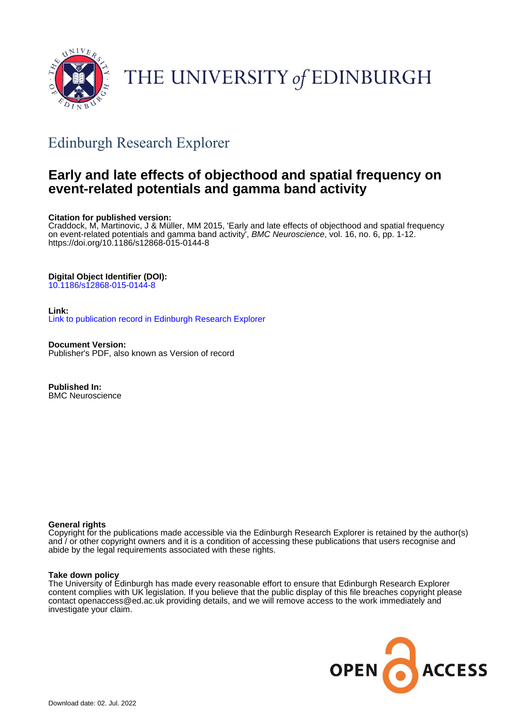

# THE UNIVERSITY of EDINBURGH

## Edinburgh Research Explorer

## **Early and late effects of objecthood and spatial frequency on event-related potentials and gamma band activity**

#### **Citation for published version:**

Craddock, M, Martinovic, J & Müller, MM 2015, 'Early and late effects of objecthood and spatial frequency on event-related potentials and gamma band activity', BMC Neuroscience, vol. 16, no. 6, pp. 1-12. <https://doi.org/10.1186/s12868-015-0144-8>

#### **Digital Object Identifier (DOI):**

[10.1186/s12868-015-0144-8](https://doi.org/10.1186/s12868-015-0144-8)

#### **Link:**

[Link to publication record in Edinburgh Research Explorer](https://www.research.ed.ac.uk/en/publications/5d40461b-1eae-4635-a941-c3ff453551d0)

**Document Version:** Publisher's PDF, also known as Version of record

**Published In:** BMC Neuroscience

#### **General rights**

Copyright for the publications made accessible via the Edinburgh Research Explorer is retained by the author(s) and / or other copyright owners and it is a condition of accessing these publications that users recognise and abide by the legal requirements associated with these rights.

#### **Take down policy**

The University of Edinburgh has made every reasonable effort to ensure that Edinburgh Research Explorer content complies with UK legislation. If you believe that the public display of this file breaches copyright please contact openaccess@ed.ac.uk providing details, and we will remove access to the work immediately and investigate your claim.

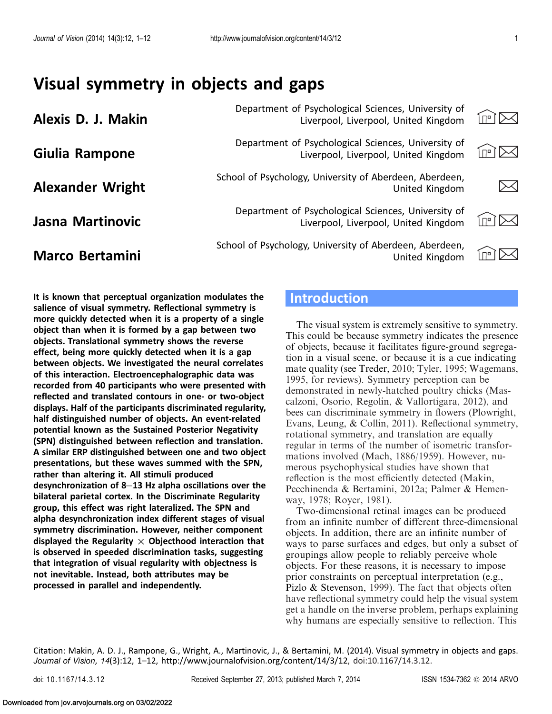## Visual symmetry in objects and gaps

**Alexis D. J. Makin 1. Department of Psychological Sciences, University of**  $\sim$  1. **Alexis D. J. Makin** Liverpool, Liverpool, United Kingdom Giulia Rampone **1 Department of Psychological Sciences**, University of Ciulia Rampone Liverpool, Liverpool, United Kingdom School of Psychology, University of Aberdeen, Aberdeen, **Alexander Wright** School of Psychology, University of Aberdeen, Aberdeen, United Kingdom **Jasna Martinovic 1 1999** Department of Psychological Sciences, University of **Jasna Martinovic 1999** Liverpool, Liverpool, United Kingdom **Marco Bertamini**  $\qquad \qquad \qquad$ School of Psychology, University of Aberdeen, Aberdeen,  $\qquad \qquad \qquad \qquad$ United Kingdom

It is known that perceptual organization modulates the salience of visual symmetry. Reflectional symmetry is more quickly detected when it is a property of a single object than when it is formed by a gap between two objects. Translational symmetry shows the reverse effect, being more quickly detected when it is a gap between objects. We investigated the neural correlates of this interaction. Electroencephalographic data was recorded from 40 participants who were presented with reflected and translated contours in one- or two-object displays. Half of the participants discriminated regularity, half distinguished number of objects. An event-related potential known as the Sustained Posterior Negativity (SPN) distinguished between reflection and translation. A similar ERP distinguished between one and two object presentations, but these waves summed with the SPN, rather than altering it. All stimuli produced desynchronization of 8-13 Hz alpha oscillations over the bilateral parietal cortex. In the Discriminate Regularity group, this effect was right lateralized. The SPN and alpha desynchronization index different stages of visual symmetry discrimination. However, neither component displayed the Regularity  $\times$  Objecthood interaction that is observed in speeded discrimination tasks, suggesting that integration of visual regularity with objectness is not inevitable. Instead, both attributes may be processed in parallel and independently.

## Introduction

The visual system is extremely sensitive to symmetry. This could be because symmetry indicates the presence of objects, because it facilitates figure-ground segregation in a visual scene, or because it is a cue indicating mate quality (see Treder, [2010](#page-12-0); Tyler, [1995](#page-12-0); Wagemans, [1995,](#page-12-0) for reviews). Symmetry perception can be demonstrated in newly-hatched poultry chicks (Mascalzoni, Osorio, Regolin, & Vallortigara, [2012\)](#page-12-0), and bees can discriminate symmetry in flowers (Plowright, Evans, Leung, & Collin, [2011\)](#page-12-0). Reflectional symmetry, rotational symmetry, and translation are equally regular in terms of the number of isometric transformations involved (Mach, [1886/1959](#page-11-0)). However, numerous psychophysical studies have shown that reflection is the most efficiently detected (Makin, Pecchinenda & Bertamini, [2012a](#page-11-0); Palmer & Hemenway, [1978](#page-12-0); Royer, [1981](#page-12-0)).

Two-dimensional retinal images can be produced from an infinite number of different three-dimensional objects. In addition, there are an infinite number of ways to parse surfaces and edges, but only a subset of groupings allow people to reliably perceive whole objects. For these reasons, it is necessary to impose prior constraints on perceptual interpretation (e.g., Pizlo & Stevenson, [1999\)](#page-12-0). The fact that objects often have reflectional symmetry could help the visual system get a handle on the inverse problem, perhaps explaining why humans are especially sensitive to reflection. This

Citation: Makin, A. D. J., Rampone, G., Wright, A., Martinovic, J., & Bertamini, M. (2014). Visual symmetry in objects and gaps. Journal of Vision, 14(3):12, 1–12, http://www.journalofvision.org/content/14/3/12, doi:10.1167/14.3.12.

Downloaded from jov.arvojournals.org on 03/02/2022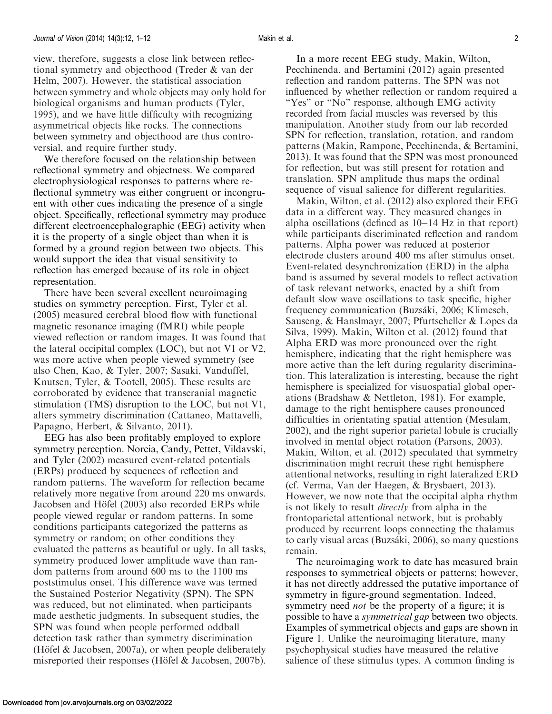view, therefore, suggests a close link between reflectional symmetry and objecthood (Treder & van der Helm, [2007](#page-12-0)). However, the statistical association between symmetry and whole objects may only hold for biological organisms and human products (Tyler, [1995\)](#page-12-0), and we have little difficulty with recognizing asymmetrical objects like rocks. The connections between symmetry and objecthood are thus controversial, and require further study.

We therefore focused on the relationship between reflectional symmetry and objectness. We compared electrophysiological responses to patterns where reflectional symmetry was either congruent or incongruent with other cues indicating the presence of a single object. Specifically, reflectional symmetry may produce different electroencephalographic (EEG) activity when it is the property of a single object than when it is formed by a ground region between two objects. This would support the idea that visual sensitivity to reflection has emerged because of its role in object representation.

There have been several excellent neuroimaging studies on symmetry perception. First, [Tyler et al.](#page-12-0) [\(2005\)](#page-12-0) measured cerebral blood flow with functional magnetic resonance imaging (fMRI) while people viewed reflection or random images. It was found that the lateral occipital complex (LOC), but not V1 or V2, was more active when people viewed symmetry (see also Chen, Kao, & Tyler, [2007](#page-11-0); Sasaki, Vanduffel, Knutsen, Tyler, & Tootell, [2005](#page-12-0)). These results are corroborated by evidence that transcranial magnetic stimulation (TMS) disruption to the LOC, but not V1, alters symmetry discrimination (Cattaneo, Mattavelli, Papagno, Herbert, & Silvanto, [2011](#page-11-0)).

EEG has also been profitably employed to explore symmetry perception. Norcia, Candy, Pettet, Vildavski, and Tyler [\(2002](#page-12-0)) measured event-related potentials (ERPs) produced by sequences of reflection and random patterns. The waveform for reflection became relatively more negative from around 220 ms onwards. [Jacobsen and H](#page-11-0)ö[fel \(2003\)](#page-11-0) also recorded ERPs while people viewed regular or random patterns. In some conditions participants categorized the patterns as symmetry or random; on other conditions they evaluated the patterns as beautiful or ugly. In all tasks, symmetry produced lower amplitude wave than random patterns from around 600 ms to the 1100 ms poststimulus onset. This difference wave was termed the Sustained Posterior Negativity (SPN). The SPN was reduced, but not eliminated, when participants made aesthetic judgments. In subsequent studies, the SPN was found when people performed oddball detection task rather than symmetry discrimination (Höfel  $& Jacobsen, 2007a$ ), or when people deliberately misreported their responses (Höfel  $&$  Jacobsen, [2007b](#page-11-0)).

In a more recent EEG study, [Makin, Wilton,](#page-11-0) [Pecchinenda, and Bertamini \(2012\)](#page-11-0) again presented reflection and random patterns. The SPN was not influenced by whether reflection or random required a "Yes" or "No" response, although EMG activity recorded from facial muscles was reversed by this manipulation. Another study from our lab recorded SPN for reflection, translation, rotation, and random patterns (Makin, Rampone, Pecchinenda, & Bertamini, [2013\)](#page-11-0). It was found that the SPN was most pronounced for reflection, but was still present for rotation and translation. SPN amplitude thus maps the ordinal sequence of visual salience for different regularities.

[Makin, Wilton, et al. \(2012\)](#page-11-0) also explored their EEG data in a different way. They measured changes in alpha oscillations (defined as 10-14 Hz in that report) while participants discriminated reflection and random patterns. Alpha power was reduced at posterior electrode clusters around 400 ms after stimulus onset. Event-related desynchronization (ERD) in the alpha band is assumed by several models to reflect activation of task relevant networks, enacted by a shift from default slow wave oscillations to task specific, higher frequency communication (Buzsáki, [2006](#page-11-0); Klimesch, Sauseng, & Hanslmayr, [2007](#page-11-0); Pfurtscheller & Lopes da Silva, [1999](#page-12-0)). [Makin, Wilton et al. \(2012\)](#page-11-0) found that Alpha ERD was more pronounced over the right hemisphere, indicating that the right hemisphere was more active than the left during regularity discrimination. This lateralization is interesting, because the right hemisphere is specialized for visuospatial global operations (Bradshaw & Nettleton, [1981](#page-11-0)). For example, damage to the right hemisphere causes pronounced difficulties in orientating spatial attention (Mesulam, [2002\)](#page-12-0), and the right superior parietal lobule is crucially involved in mental object rotation (Parsons, [2003](#page-12-0)). [Makin, Wilton, et al. \(2012\)](#page-11-0) speculated that symmetry discrimination might recruit these right hemisphere attentional networks, resulting in right lateralized ERD (cf. Verma, Van der Haegen, & Brysbaert, [2013\)](#page-12-0). However, we now note that the occipital alpha rhythm is not likely to result directly from alpha in the frontoparietal attentional network, but is probably produced by recurrent loops connecting the thalamus to early visual areas (Buzsáki, [2006\)](#page-11-0), so many questions remain.

The neuroimaging work to date has measured brain responses to symmetrical objects or patterns; however, it has not directly addressed the putative importance of symmetry in figure-ground segmentation. Indeed, symmetry need *not* be the property of a figure; it is possible to have a symmetrical gap between two objects. Examples of symmetrical objects and gaps are shown in [Figure 1.](#page-3-0) Unlike the neuroimaging literature, many psychophysical studies have measured the relative salience of these stimulus types. A common finding is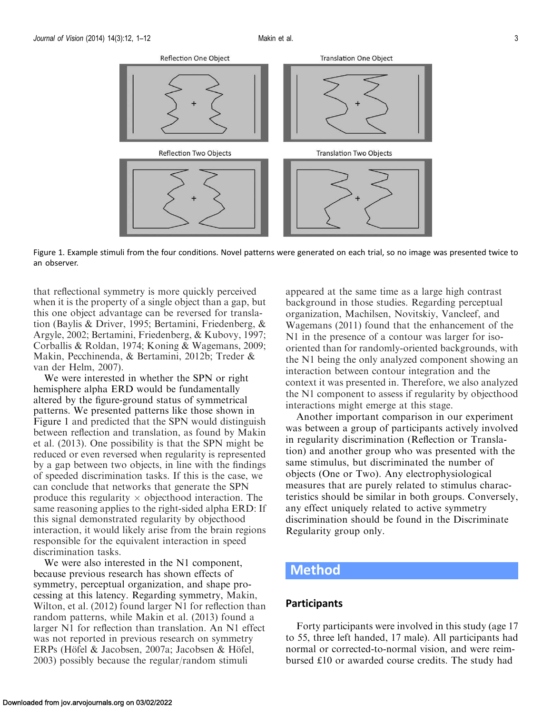<span id="page-3-0"></span>

Figure 1. Example stimuli from the four conditions. Novel patterns were generated on each trial, so no image was presented twice to an observer.

that reflectional symmetry is more quickly perceived when it is the property of a single object than a gap, but this one object advantage can be reversed for translation (Baylis & Driver, [1995;](#page-11-0) Bertamini, Friedenberg, & Argyle, [2002;](#page-11-0) Bertamini, Friedenberg, & Kubovy, [1997](#page-11-0); Corballis & Roldan, [1974](#page-11-0); Koning & Wagemans, [2009](#page-11-0); Makin, Pecchinenda, & Bertamini, [2012b](#page-11-0); Treder & van der Helm, [2007\)](#page-12-0).

We were interested in whether the SPN or right hemisphere alpha ERD would be fundamentally altered by the figure-ground status of symmetrical patterns. We presented patterns like those shown in Figure 1 and predicted that the SPN would distinguish between reflection and translation, as found by Makin et al. ([2013\)](#page-11-0). One possibility is that the SPN might be reduced or even reversed when regularity is represented by a gap between two objects, in line with the findings of speeded discrimination tasks. If this is the case, we can conclude that networks that generate the SPN produce this regularity  $\times$  objecthood interaction. The same reasoning applies to the right-sided alpha ERD: If this signal demonstrated regularity by objecthood interaction, it would likely arise from the brain regions responsible for the equivalent interaction in speed discrimination tasks.

We were also interested in the N1 component, because previous research has shown effects of symmetry, perceptual organization, and shape processing at this latency. Regarding symmetry, [Makin,](#page-11-0) [Wilton, et al. \(2012\)](#page-11-0) found larger N1 for reflection than random patterns, while Makin et al. [\(2013](#page-11-0)) found a larger N1 for reflection than translation. An N1 effect was not reported in previous research on symmetry ERPs (Höfel & Jacobsen, [2007a;](#page-11-0) Jacobsen & Höfel, [2003\)](#page-11-0) possibly because the regular/random stimuli

appeared at the same time as a large high contrast background in those studies. Regarding perceptual organization, [Machilsen, Novitskiy, Vancleef, and](#page-11-0) [Wagemans \(2011\)](#page-11-0) found that the enhancement of the N1 in the presence of a contour was larger for isooriented than for randomly-oriented backgrounds, with the N1 being the only analyzed component showing an interaction between contour integration and the context it was presented in. Therefore, we also analyzed the N1 component to assess if regularity by objecthood interactions might emerge at this stage.

Another important comparison in our experiment was between a group of participants actively involved in regularity discrimination (Reflection or Translation) and another group who was presented with the same stimulus, but discriminated the number of objects (One or Two). Any electrophysiological measures that are purely related to stimulus characteristics should be similar in both groups. Conversely, any effect uniquely related to active symmetry discrimination should be found in the Discriminate Regularity group only.

## Method

#### Participants

Forty participants were involved in this study (age 17 to 55, three left handed, 17 male). All participants had normal or corrected-to-normal vision, and were reimbursed £10 or awarded course credits. The study had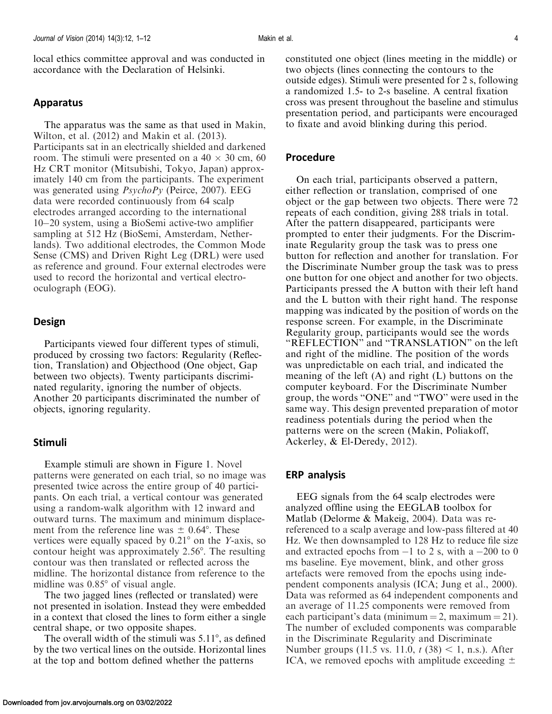local ethics committee approval and was conducted in accordance with the Declaration of Helsinki.

#### Apparatus

The apparatus was the same as that used in [Makin,](#page-11-0) [Wilton, et al. \(2012\)](#page-11-0) and Makin et al. [\(2013\)](#page-11-0). Participants sat in an electrically shielded and darkened room. The stimuli were presented on a  $40 \times 30$  cm, 60 Hz CRT monitor (Mitsubishi, Tokyo, Japan) approximately 140 cm from the participants. The experiment was generated using  $PsychoPy$  (Peirce, [2007](#page-12-0)). EEG data were recorded continuously from 64 scalp electrodes arranged according to the international 10-20 system, using a BioSemi active-two amplifier sampling at 512 Hz (BioSemi, Amsterdam, Netherlands). Two additional electrodes, the Common Mode Sense (CMS) and Driven Right Leg (DRL) were used as reference and ground. Four external electrodes were used to record the horizontal and vertical electrooculograph (EOG).

#### Design

Participants viewed four different types of stimuli, produced by crossing two factors: Regularity (Reflection, Translation) and Objecthood (One object, Gap between two objects). Twenty participants discriminated regularity, ignoring the number of objects. Another 20 participants discriminated the number of objects, ignoring regularity.

#### Stimuli

Example stimuli are shown in [Figure 1.](#page-3-0) Novel patterns were generated on each trial, so no image was presented twice across the entire group of 40 participants. On each trial, a vertical contour was generated using a random-walk algorithm with 12 inward and outward turns. The maximum and minimum displacement from the reference line was  $\pm$  0.64°. These vertices were equally spaced by  $0.21^{\circ}$  on the Y-axis, so contour height was approximately  $2.56^{\circ}$ . The resulting contour was then translated or reflected across the midline. The horizontal distance from reference to the midline was  $0.85^{\circ}$  of visual angle.

The two jagged lines (reflected or translated) were not presented in isolation. Instead they were embedded in a context that closed the lines to form either a single central shape, or two opposite shapes.

The overall width of the stimuli was  $5.11^{\circ}$ , as defined by the two vertical lines on the outside. Horizontal lines at the top and bottom defined whether the patterns

constituted one object (lines meeting in the middle) or two objects (lines connecting the contours to the outside edges). Stimuli were presented for 2 s, following a randomized 1.5- to 2-s baseline. A central fixation cross was present throughout the baseline and stimulus presentation period, and participants were encouraged to fixate and avoid blinking during this period.

#### Procedure

On each trial, participants observed a pattern, either reflection or translation, comprised of one object or the gap between two objects. There were 72 repeats of each condition, giving 288 trials in total. After the pattern disappeared, participants were prompted to enter their judgments. For the Discriminate Regularity group the task was to press one button for reflection and another for translation. For the Discriminate Number group the task was to press one button for one object and another for two objects. Participants pressed the A button with their left hand and the L button with their right hand. The response mapping was indicated by the position of words on the response screen. For example, in the Discriminate Regularity group, participants would see the words "REFLECTION" and "TRANSLATION" on the left and right of the midline. The position of the words was unpredictable on each trial, and indicated the meaning of the left (A) and right (L) buttons on the computer keyboard. For the Discriminate Number group, the words ''ONE'' and ''TWO'' were used in the same way. This design prevented preparation of motor readiness potentials during the period when the patterns were on the screen (Makin, Poliakoff, Ackerley, & El-Deredy, [2012](#page-11-0)).

#### ERP analysis

EEG signals from the 64 scalp electrodes were analyzed offline using the EEGLAB toolbox for Matlab (Delorme & Makeig, [2004](#page-11-0)). Data was rereferenced to a scalp average and low-pass filtered at 40 Hz. We then downsampled to 128 Hz to reduce file size and extracted epochs from  $-1$  to 2 s, with a  $-200$  to 0 ms baseline. Eye movement, blink, and other gross artefacts were removed from the epochs using independent components analysis (ICA; Jung et al., [2000\)](#page-11-0). Data was reformed as 64 independent components and an average of 11.25 components were removed from each participant's data (minimum  $= 2$ , maximum  $= 21$ ). The number of excluded components was comparable in the Discriminate Regularity and Discriminate Number groups (11.5 vs. 11.0,  $t$  (38) < 1, n.s.). After ICA, we removed epochs with amplitude exceeding  $\pm$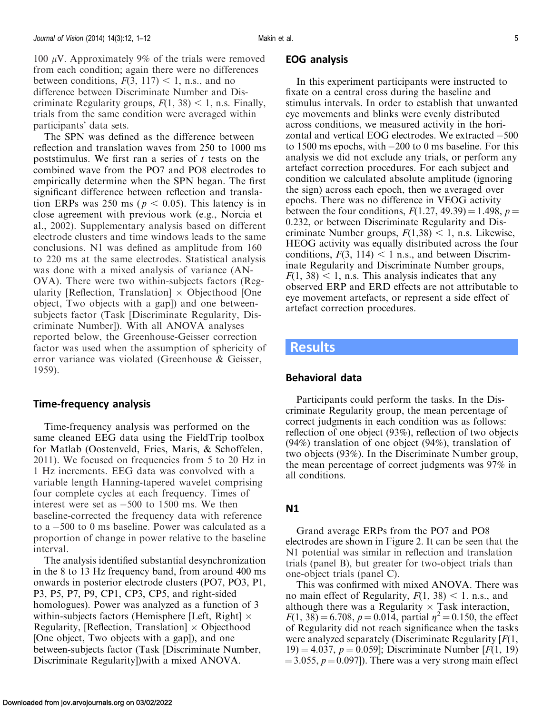100  $\mu$ V. Approximately 9% of the trials were removed from each condition; again there were no differences between conditions,  $F(3, 117) < 1$ , n.s., and no difference between Discriminate Number and Discriminate Regularity groups,  $F(1, 38) < 1$ , n.s. Finally, trials from the same condition were averaged within participants' data sets.

The SPN was defined as the difference between reflection and translation waves from 250 to 1000 ms poststimulus. We first ran a series of  $t$  tests on the combined wave from the PO7 and PO8 electrodes to empirically determine when the SPN began. The first significant difference between reflection and translation ERPs was 250 ms ( $p < 0.05$ ). This latency is in close agreement with previous work (e.g., Norcia et al., [2002](#page-12-0)). Supplementary analysis based on different electrode clusters and time windows leads to the same conclusions. N1 was defined as amplitude from 160 to 220 ms at the same electrodes. Statistical analysis was done with a mixed analysis of variance (AN-OVA). There were two within-subjects factors (Regularity [Reflection, Translation]  $\times$  Objecthood [One object, Two objects with a gap]) and one betweensubjects factor (Task [Discriminate Regularity, Discriminate Number]). With all ANOVA analyses reported below, the Greenhouse-Geisser correction factor was used when the assumption of sphericity of error variance was violated (Greenhouse & Geisser, [1959](#page-11-0)).

#### Time-frequency analysis

Time-frequency analysis was performed on the same cleaned EEG data using the FieldTrip toolbox for Matlab (Oostenveld, Fries, Maris, & Schoffelen, [2011](#page-12-0)). We focused on frequencies from 5 to 20 Hz in 1 Hz increments. EEG data was convolved with a variable length Hanning-tapered wavelet comprising four complete cycles at each frequency. Times of interest were set as  $-500$  to 1500 ms. We then baseline-corrected the frequency data with reference to a -500 to 0 ms baseline. Power was calculated as a proportion of change in power relative to the baseline interval.

The analysis identified substantial desynchronization in the 8 to 13 Hz frequency band, from around 400 ms onwards in posterior electrode clusters (PO7, PO3, P1, P3, P5, P7, P9, CP1, CP3, CP5, and right-sided homologues). Power was analyzed as a function of 3 within-subjects factors (Hemisphere [Left, Right]  $\times$ Regularity, [Reflection, Translation]  $\times$  Objecthood [One object, Two objects with a gap]), and one between-subjects factor (Task [Discriminate Number, Discriminate Regularity])with a mixed ANOVA.

#### EOG analysis

In this experiment participants were instructed to fixate on a central cross during the baseline and stimulus intervals. In order to establish that unwanted eye movements and blinks were evenly distributed across conditions, we measured activity in the horizontal and vertical EOG electrodes. We extracted -500 to 1500 ms epochs, with -200 to 0 ms baseline. For this analysis we did not exclude any trials, or perform any artefact correction procedures. For each subject and condition we calculated absolute amplitude (ignoring the sign) across each epoch, then we averaged over epochs. There was no difference in VEOG activity between the four conditions,  $F(1.27, 49.39) = 1.498$ ,  $p =$ 0.232, or between Discriminate Regularity and Discriminate Number groups,  $F(1,38)$  < 1, n.s. Likewise, HEOG activity was equally distributed across the four conditions,  $F(3, 114) < 1$  n.s., and between Discriminate Regularity and Discriminate Number groups,  $F(1, 38)$  < 1, n.s. This analysis indicates that any observed ERP and ERD effects are not attributable to eye movement artefacts, or represent a side effect of artefact correction procedures.

### Results

#### Behavioral data

Participants could perform the tasks. In the Discriminate Regularity group, the mean percentage of correct judgments in each condition was as follows: reflection of one object (93%), reflection of two objects (94%) translation of one object (94%), translation of two objects (93%). In the Discriminate Number group, the mean percentage of correct judgments was 97% in all conditions.

#### N1

Grand average ERPs from the PO7 and PO8 electrodes are shown in [Figure 2](#page-6-0). It can be seen that the N1 potential was similar in reflection and translation trials (panel B), but greater for two-object trials than one-object trials (panel C).

This was confirmed with mixed ANOVA. There was no main effect of Regularity,  $F(1, 38) < 1$ . n.s., and although there was a Regularity  $\times$  Task interaction,  $F(1, 38) = 6.708$ ,  $p = 0.014$ , partial  $\eta^2 = 0.150$ , the effect of Regularity did not reach significance when the tasks were analyzed separately (Discriminate Regularity  $[F(1,$ 19) = 4.037,  $p = 0.059$ ; Discriminate Number [F(1, 19)  $\approx$  3.055, p  $\approx$  0.097]). There was a very strong main effect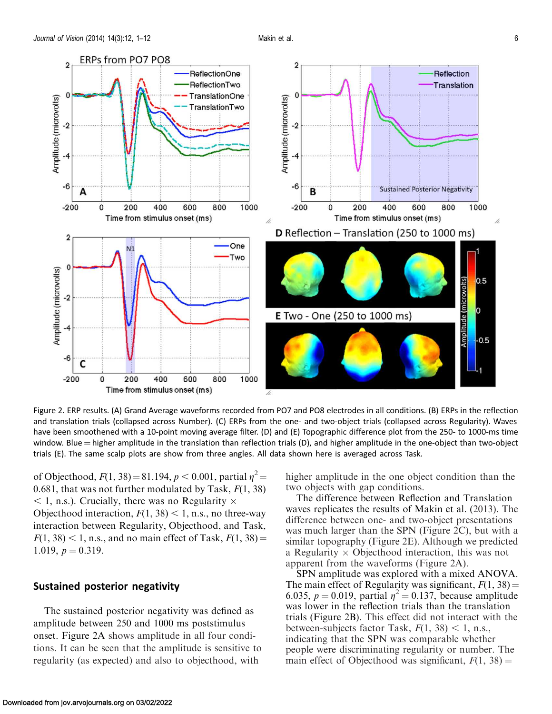<span id="page-6-0"></span>

Figure 2. ERP results. (A) Grand Average waveforms recorded from PO7 and PO8 electrodes in all conditions. (B) ERPs in the reflection and translation trials (collapsed across Number). (C) ERPs from the one- and two-object trials (collapsed across Regularity). Waves have been smoothened with a 10-point moving average filter. (D) and (E) Topographic difference plot from the 250- to 1000-ms time window. Blue  $=$  higher amplitude in the translation than reflection trials (D), and higher amplitude in the one-object than two-object trials (E). The same scalp plots are show from three angles. All data shown here is averaged across Task.

of Objecthood,  $F(1, 38) = 81.194$ ,  $p < 0.001$ , partial  $\eta^2 =$ 0.681, that was not further modulated by Task,  $F(1, 38)$  $<$  1, n.s.). Crucially, there was no Regularity  $\times$ Objecthood interaction,  $F(1, 38) < 1$ , n.s., no three-way interaction between Regularity, Objecthood, and Task,  $F(1, 38)$  < 1, n.s., and no main effect of Task,  $F(1, 38)$  = 1.019,  $p = 0.319$ .

#### Sustained posterior negativity

The sustained posterior negativity was defined as amplitude between 250 and 1000 ms poststimulus onset. Figure 2A shows amplitude in all four conditions. It can be seen that the amplitude is sensitive to regularity (as expected) and also to objecthood, with

higher amplitude in the one object condition than the two objects with gap conditions.

The difference between Reflection and Translation waves replicates the results of Makin et al. ([2013\)](#page-11-0). The difference between one- and two-object presentations was much larger than the SPN (Figure 2C), but with a similar topography (Figure 2E). Although we predicted a Regularity  $\times$  Objecthood interaction, this was not apparent from the waveforms (Figure 2A).

SPN amplitude was explored with a mixed ANOVA. The main effect of Regularity was significant,  $F(1, 38) =$ 6.035,  $p = 0.019$ , partial  $\eta^2 = 0.137$ , because amplitude was lower in the reflection trials than the translation trials (Figure 2B). This effect did not interact with the between-subjects factor Task,  $F(1, 38) < 1$ , n.s., indicating that the SPN was comparable whether people were discriminating regularity or number. The main effect of Objecthood was significant,  $F(1, 38) =$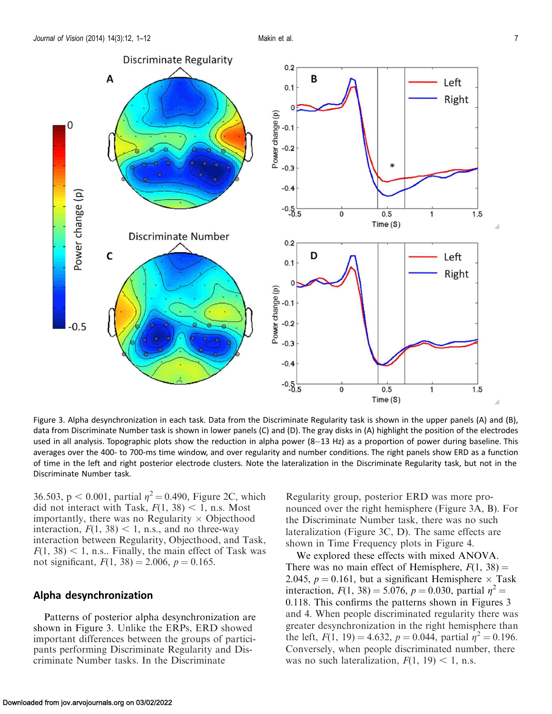<span id="page-7-0"></span>

Figure 3. Alpha desynchronization in each task. Data from the Discriminate Regularity task is shown in the upper panels (A) and (B), data from Discriminate Number task is shown in lower panels (C) and (D). The gray disks in (A) highlight the position of the electrodes used in all analysis. Topographic plots show the reduction in alpha power (8–13 Hz) as a proportion of power during baseline. This averages over the 400- to 700-ms time window, and over regularity and number conditions. The right panels show ERD as a function of time in the left and right posterior electrode clusters. Note the lateralization in the Discriminate Regularity task, but not in the Discriminate Number task.

 $-0.5$ 

0

36.503, p < 0.001, partial  $\eta^2 = 0.490$ , [Figure 2C](#page-6-0), which did not interact with Task,  $F(1, 38) < 1$ , n.s. Most importantly, there was no Regularity  $\times$  Objecthood interaction,  $F(1, 38)$  < 1, n.s., and no three-way interaction between Regularity, Objecthood, and Task,  $F(1, 38)$  < 1, n.s.. Finally, the main effect of Task was not significant,  $F(1, 38) = 2.006$ ,  $p = 0.165$ .

#### Alpha desynchronization

Patterns of posterior alpha desynchronization are shown in Figure 3. Unlike the ERPs, ERD showed important differences between the groups of participants performing Discriminate Regularity and Discriminate Number tasks. In the Discriminate

Regularity group, posterior ERD was more pronounced over the right hemisphere (Figure 3A, B). For the Discriminate Number task, there was no such lateralization (Figure 3C, D). The same effects are shown in Time Frequency plots in [Figure 4](#page-8-0).

 $0.5$ 

 $Time(S)$ 

 $\overline{1}$ 

 $1.5$ 

We explored these effects with mixed ANOVA. There was no main effect of Hemisphere,  $F(1, 38) =$ 2.045,  $p = 0.161$ , but a significant Hemisphere  $\times$  Task interaction,  $F(1, 38) = 5.076$ ,  $p = 0.030$ , partial  $\eta^2 =$ 0.118. This confirms the patterns shown in Figures 3 and [4](#page-8-0). When people discriminated regularity there was greater desynchronization in the right hemisphere than the left,  $F(1, 19) = 4.632$ ,  $p = 0.044$ , partial  $\eta^2 = 0.196$ . Conversely, when people discriminated number, there was no such lateralization,  $F(1, 19) < 1$ , n.s.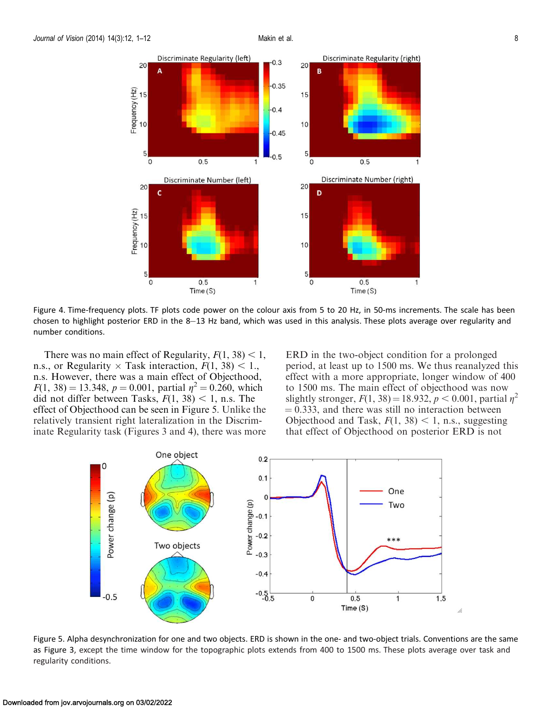<span id="page-8-0"></span>

Figure 4. Time-frequency plots. TF plots code power on the colour axis from 5 to 20 Hz, in 50-ms increments. The scale has been chosen to highlight posterior ERD in the 8–13 Hz band, which was used in this analysis. These plots average over regularity and number conditions.

There was no main effect of Regularity,  $F(1, 38) < 1$ , n.s., or Regularity  $\times$  Task interaction,  $F(1, 38)$  < 1., n.s. However, there was a main effect of Objecthood,  $F(1, 38) = 13.348$ ,  $p = 0.001$ , partial  $\eta^2 = 0.260$ , which did not differ between Tasks,  $F(1, 38) < 1$ , n.s. The effect of Objecthood can be seen in Figure 5. Unlike the relatively transient right lateralization in the Discriminate Regularity task ([Figures 3](#page-7-0) and 4), there was more ERD in the two-object condition for a prolonged period, at least up to 1500 ms. We thus reanalyzed this effect with a more appropriate, longer window of 400 to 1500 ms. The main effect of objecthood was now slightly stronger,  $F(1, 38) = 18.932$ ,  $p < 0.001$ , partial  $p^2$  $= 0.333$ , and there was still no interaction between Objecthood and Task,  $F(1, 38) < 1$ , n.s., suggesting that effect of Objecthood on posterior ERD is not



Figure 5. Alpha desynchronization for one and two objects. ERD is shown in the one- and two-object trials. Conventions are the same as [Figure 3](#page-7-0), except the time window for the topographic plots extends from 400 to 1500 ms. These plots average over task and regularity conditions.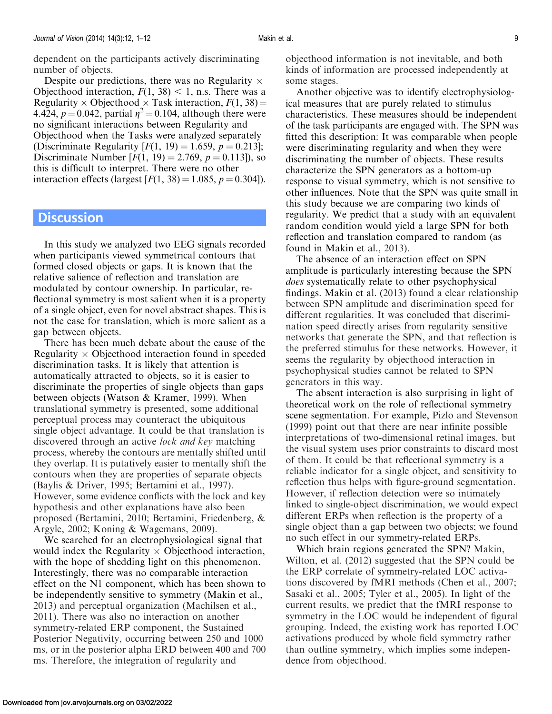dependent on the participants actively discriminating number of objects.

Despite our predictions, there was no Regularity  $\times$ Objecthood interaction,  $F(1, 38) < 1$ , n.s. There was a Regularity  $\times$  Objecthood  $\times$  Task interaction,  $F(1, 38)$  = 4.424,  $p = 0.042$ , partial  $\eta^2 = 0.104$ , although there were no significant interactions between Regularity and Objecthood when the Tasks were analyzed separately (Discriminate Regularity  $[F(1, 19) = 1.659, p = 0.213]$ ; Discriminate Number  $[F(1, 19) = 2.769, p = 0.113]$ , so this is difficult to interpret. There were no other interaction effects (largest  $[F(1, 38) = 1.085, p = 0.304]$ ).

## **Discussion**

In this study we analyzed two EEG signals recorded when participants viewed symmetrical contours that formed closed objects or gaps. It is known that the relative salience of reflection and translation are modulated by contour ownership. In particular, reflectional symmetry is most salient when it is a property of a single object, even for novel abstract shapes. This is not the case for translation, which is more salient as a gap between objects.

There has been much debate about the cause of the Regularity  $\times$  Objecthood interaction found in speeded discrimination tasks. It is likely that attention is automatically attracted to objects, so it is easier to discriminate the properties of single objects than gaps between objects (Watson & Kramer, [1999\)](#page-12-0). When translational symmetry is presented, some additional perceptual process may counteract the ubiquitous single object advantage. It could be that translation is discovered through an active *lock and key* matching process, whereby the contours are mentally shifted until they overlap. It is putatively easier to mentally shift the contours when they are properties of separate objects (Baylis & Driver, [1995;](#page-11-0) Bertamini et al., [1997\)](#page-11-0). However, some evidence conflicts with the lock and key hypothesis and other explanations have also been proposed (Bertamini, [2010;](#page-11-0) Bertamini, Friedenberg, & Argyle, [2002;](#page-11-0) Koning & Wagemans, [2009\)](#page-11-0).

We searched for an electrophysiological signal that would index the Regularity  $\times$  Objecthood interaction, with the hope of shedding light on this phenomenon. Interestingly, there was no comparable interaction effect on the N1 component, which has been shown to be independently sensitive to symmetry (Makin et al., [2013\)](#page-11-0) and perceptual organization (Machilsen et al., [2011\)](#page-11-0). There was also no interaction on another symmetry-related ERP component, the Sustained Posterior Negativity, occurring between 250 and 1000 ms, or in the posterior alpha ERD between 400 and 700 ms. Therefore, the integration of regularity and

objecthood information is not inevitable, and both kinds of information are processed independently at some stages.

Another objective was to identify electrophysiological measures that are purely related to stimulus characteristics. These measures should be independent of the task participants are engaged with. The SPN was fitted this description: It was comparable when people were discriminating regularity and when they were discriminating the number of objects. These results characterize the SPN generators as a bottom-up response to visual symmetry, which is not sensitive to other influences. Note that the SPN was quite small in this study because we are comparing two kinds of regularity. We predict that a study with an equivalent random condition would yield a large SPN for both reflection and translation compared to random (as found in Makin et al., [2013](#page-11-0)).

The absence of an interaction effect on SPN amplitude is particularly interesting because the SPN does systematically relate to other psychophysical findings. Makin et al. [\(2013\)](#page-11-0) found a clear relationship between SPN amplitude and discrimination speed for different regularities. It was concluded that discrimination speed directly arises from regularity sensitive networks that generate the SPN, and that reflection is the preferred stimulus for these networks. However, it seems the regularity by objecthood interaction in psychophysical studies cannot be related to SPN generators in this way.

The absent interaction is also surprising in light of theoretical work on the role of reflectional symmetry scene segmentation. For example, [Pizlo and Stevenson](#page-12-0) [\(1999\)](#page-12-0) point out that there are near infinite possible interpretations of two-dimensional retinal images, but the visual system uses prior constraints to discard most of them. It could be that reflectional symmetry is a reliable indicator for a single object, and sensitivity to reflection thus helps with figure-ground segmentation. However, if reflection detection were so intimately linked to single-object discrimination, we would expect different ERPs when reflection is the property of a single object than a gap between two objects; we found no such effect in our symmetry-related ERPs.

Which brain regions generated the SPN? [Makin,](#page-11-0) [Wilton, et al. \(2012\)](#page-11-0) suggested that the SPN could be the ERP correlate of symmetry-related LOC activations discovered by fMRI methods (Chen et al., [2007](#page-11-0); Sasaki et al., [2005;](#page-12-0) Tyler et al., [2005\)](#page-12-0). In light of the current results, we predict that the fMRI response to symmetry in the LOC would be independent of figural grouping. Indeed, the existing work has reported LOC activations produced by whole field symmetry rather than outline symmetry, which implies some independence from objecthood.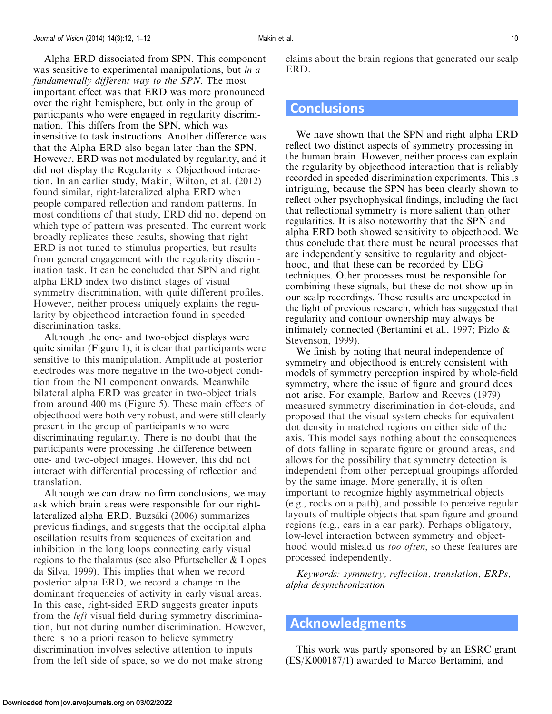Alpha ERD dissociated from SPN. This component was sensitive to experimental manipulations, but *in a* fundamentally different way to the SPN. The most important effect was that ERD was more pronounced over the right hemisphere, but only in the group of participants who were engaged in regularity discrimination. This differs from the SPN, which was insensitive to task instructions. Another difference was that the Alpha ERD also began later than the SPN. However, ERD was not modulated by regularity, and it did not display the Regularity  $\times$  Objecthood interaction. In an earlier study, [Makin, Wilton, et al. \(2012\)](#page-11-0) found similar, right-lateralized alpha ERD when people compared reflection and random patterns. In most conditions of that study, ERD did not depend on which type of pattern was presented. The current work broadly replicates these results, showing that right ERD is not tuned to stimulus properties, but results from general engagement with the regularity discrimination task. It can be concluded that SPN and right alpha ERD index two distinct stages of visual symmetry discrimination, with quite different profiles. However, neither process uniquely explains the regularity by objecthood interaction found in speeded discrimination tasks.

Although the one- and two-object displays were quite similar [\(Figure 1](#page-3-0)), it is clear that participants were sensitive to this manipulation. Amplitude at posterior electrodes was more negative in the two-object condition from the N1 component onwards. Meanwhile bilateral alpha ERD was greater in two-object trials from around 400 ms ([Figure 5\)](#page-8-0). These main effects of objecthood were both very robust, and were still clearly present in the group of participants who were discriminating regularity. There is no doubt that the participants were processing the difference between one- and two-object images. However, this did not interact with differential processing of reflection and translation.

Although we can draw no firm conclusions, we may ask which brain areas were responsible for our right-lateralized alpha ERD. [Buzs](#page-11-0)á[ki \(2006\)](#page-11-0) summarizes previous findings, and suggests that the occipital alpha oscillation results from sequences of excitation and inhibition in the long loops connecting early visual regions to the thalamus (see also Pfurtscheller & Lopes da Silva, [1999\)](#page-12-0). This implies that when we record posterior alpha ERD, we record a change in the dominant frequencies of activity in early visual areas. In this case, right-sided ERD suggests greater inputs from the left visual field during symmetry discrimination, but not during number discrimination. However, there is no a priori reason to believe symmetry discrimination involves selective attention to inputs from the left side of space, so we do not make strong

claims about the brain regions that generated our scalp ERD.

## **Conclusions**

We have shown that the SPN and right alpha ERD reflect two distinct aspects of symmetry processing in the human brain. However, neither process can explain the regularity by objecthood interaction that is reliably recorded in speeded discrimination experiments. This is intriguing, because the SPN has been clearly shown to reflect other psychophysical findings, including the fact that reflectional symmetry is more salient than other regularities. It is also noteworthy that the SPN and alpha ERD both showed sensitivity to objecthood. We thus conclude that there must be neural processes that are independently sensitive to regularity and objecthood, and that these can be recorded by EEG techniques. Other processes must be responsible for combining these signals, but these do not show up in our scalp recordings. These results are unexpected in the light of previous research, which has suggested that regularity and contour ownership may always be intimately connected (Bertamini et al., [1997;](#page-11-0) Pizlo & Stevenson, [1999\)](#page-12-0).

We finish by noting that neural independence of symmetry and objecthood is entirely consistent with models of symmetry perception inspired by whole-field symmetry, where the issue of figure and ground does not arise. For example, [Barlow and Reeves \(1979\)](#page-11-0) measured symmetry discrimination in dot-clouds, and proposed that the visual system checks for equivalent dot density in matched regions on either side of the axis. This model says nothing about the consequences of dots falling in separate figure or ground areas, and allows for the possibility that symmetry detection is independent from other perceptual groupings afforded by the same image. More generally, it is often important to recognize highly asymmetrical objects (e.g., rocks on a path), and possible to perceive regular layouts of multiple objects that span figure and ground regions (e.g., cars in a car park). Perhaps obligatory, low-level interaction between symmetry and objecthood would mislead us *too often*, so these features are processed independently.

Keywords: symmetry, reflection, translation, ERPs, alpha desynchronization

## Acknowledgments

This work was partly sponsored by an ESRC grant (ES/K000187/1) awarded to Marco Bertamini, and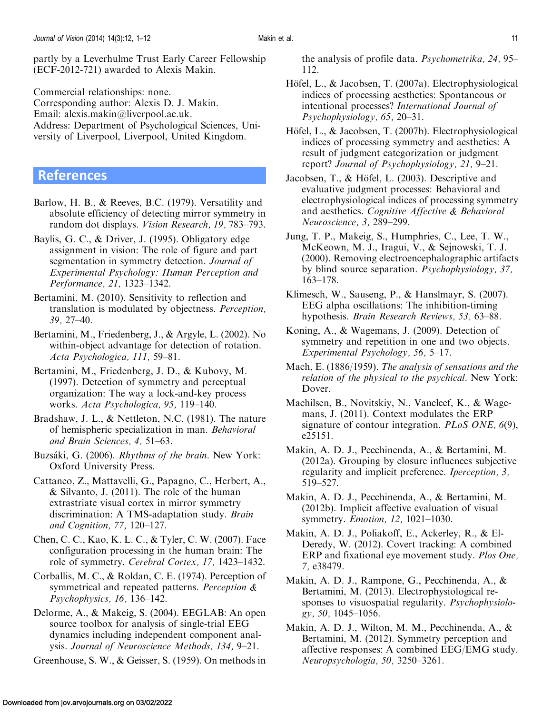<span id="page-11-0"></span>partly by a Leverhulme Trust Early Career Fellowship (ECF-2012-721) awarded to Alexis Makin.

Commercial relationships: none.

Corresponding author: Alexis D. J. Makin. Email: alexis.makin@liverpool.ac.uk. Address: Department of Psychological Sciences, University of Liverpool, Liverpool, United Kingdom.

## References

- Barlow, H. B., & Reeves, B.C. (1979). Versatility and absolute efficiency of detecting mirror symmetry in random dot displays. Vision Research, 19, 783–793.
- Baylis, G. C., & Driver, J. (1995). Obligatory edge assignment in vision: The role of figure and part segmentation in symmetry detection. Journal of Experimental Psychology: Human Perception and Performance, 21, 1323–1342.
- Bertamini, M. (2010). Sensitivity to reflection and translation is modulated by objectness. Perception, 39, 27–40.
- Bertamini, M., Friedenberg, J., & Argyle, L. (2002). No within-object advantage for detection of rotation. Acta Psychologica, 111, 59–81.
- Bertamini, M., Friedenberg, J. D., & Kubovy, M. (1997). Detection of symmetry and perceptual organization: The way a lock-and-key process works. Acta Psychologica, 95, 119–140.
- Bradshaw, J. L., & Nettleton, N.C. (1981). The nature of hemispheric specialization in man. Behavioral and Brain Sciences, 4, 51–63.
- Buzsáki, G. (2006). Rhythms of the brain. New York: Oxford University Press.
- Cattaneo, Z., Mattavelli, G., Papagno, C., Herbert, A., & Silvanto, J. (2011). The role of the human extrastriate visual cortex in mirror symmetry discrimination: A TMS-adaptation study. Brain and Cognition, 77, 120–127.
- Chen, C. C., Kao, K. L. C., & Tyler, C. W. (2007). Face configuration processing in the human brain: The role of symmetry. Cerebral Cortex, 17, 1423–1432.
- Corballis, M. C., & Roldan, C. E. (1974). Perception of symmetrical and repeated patterns. Perception & Psychophysics, 16, 136–142.
- Delorme, A., & Makeig, S. (2004). EEGLAB: An open source toolbox for analysis of single-trial EEG dynamics including independent component analysis. Journal of Neuroscience Methods, 134, 9–21.

Greenhouse, S. W., & Geisser, S. (1959). On methods in

the analysis of profile data. Psychometrika, 24, 95– 112.

- Höfel, L., & Jacobsen, T. (2007a). Electrophysiological indices of processing aesthetics: Spontaneous or intentional processes? International Journal of Psychophysiology, 65, 20–31.
- Höfel, L., & Jacobsen, T. (2007b). Electrophysiological indices of processing symmetry and aesthetics: A result of judgment categorization or judgment report? Journal of Psychophysiology, 21, 9–21.
- Jacobsen, T., & Höfel, L. (2003). Descriptive and evaluative judgment processes: Behavioral and electrophysiological indices of processing symmetry and aesthetics. Cognitive Affective & Behavioral Neuroscience, 3, 289–299.
- Jung, T. P., Makeig, S., Humphries, C., Lee, T. W., McKeown, M. J., Iragui, V., & Sejnowski, T. J. (2000). Removing electroencephalographic artifacts by blind source separation. Psychophysiology, 37, 163–178.
- Klimesch, W., Sauseng, P., & Hanslmayr, S. (2007). EEG alpha oscillations: The inhibition-timing hypothesis. Brain Research Reviews, 53, 63–88.
- Koning, A., & Wagemans, J. (2009). Detection of symmetry and repetition in one and two objects. Experimental Psychology, 56, 5–17.
- Mach, E. (1886/1959). The analysis of sensations and the relation of the physical to the psychical. New York: Dover.
- Machilsen, B., Novitskiy, N., Vancleef, K., & Wagemans, J. (2011). Context modulates the ERP signature of contour integration. PLoS ONE,  $6(9)$ , e25151.
- Makin, A. D. J., Pecchinenda, A., & Bertamini, M. (2012a). Grouping by closure influences subjective regularity and implicit preference. Iperception, 3, 519–527.
- Makin, A. D. J., Pecchinenda, A., & Bertamini, M. (2012b). Implicit affective evaluation of visual symmetry. Emotion, 12, 1021–1030.
- Makin, A. D. J., Poliakoff, E., Ackerley, R., & El-Deredy, W. (2012). Covert tracking: A combined ERP and fixational eye movement study. *Plos One*, 7, e38479.
- Makin, A. D. J., Rampone, G., Pecchinenda, A., & Bertamini, M. (2013). Electrophysiological responses to visuospatial regularity. *Psychophysiolo* $gy, 50, 1045-1056.$
- Makin, A. D. J., Wilton, M. M., Pecchinenda, A., & Bertamini, M. (2012). Symmetry perception and affective responses: A combined EEG/EMG study. Neuropsychologia, 50, 3250–3261.